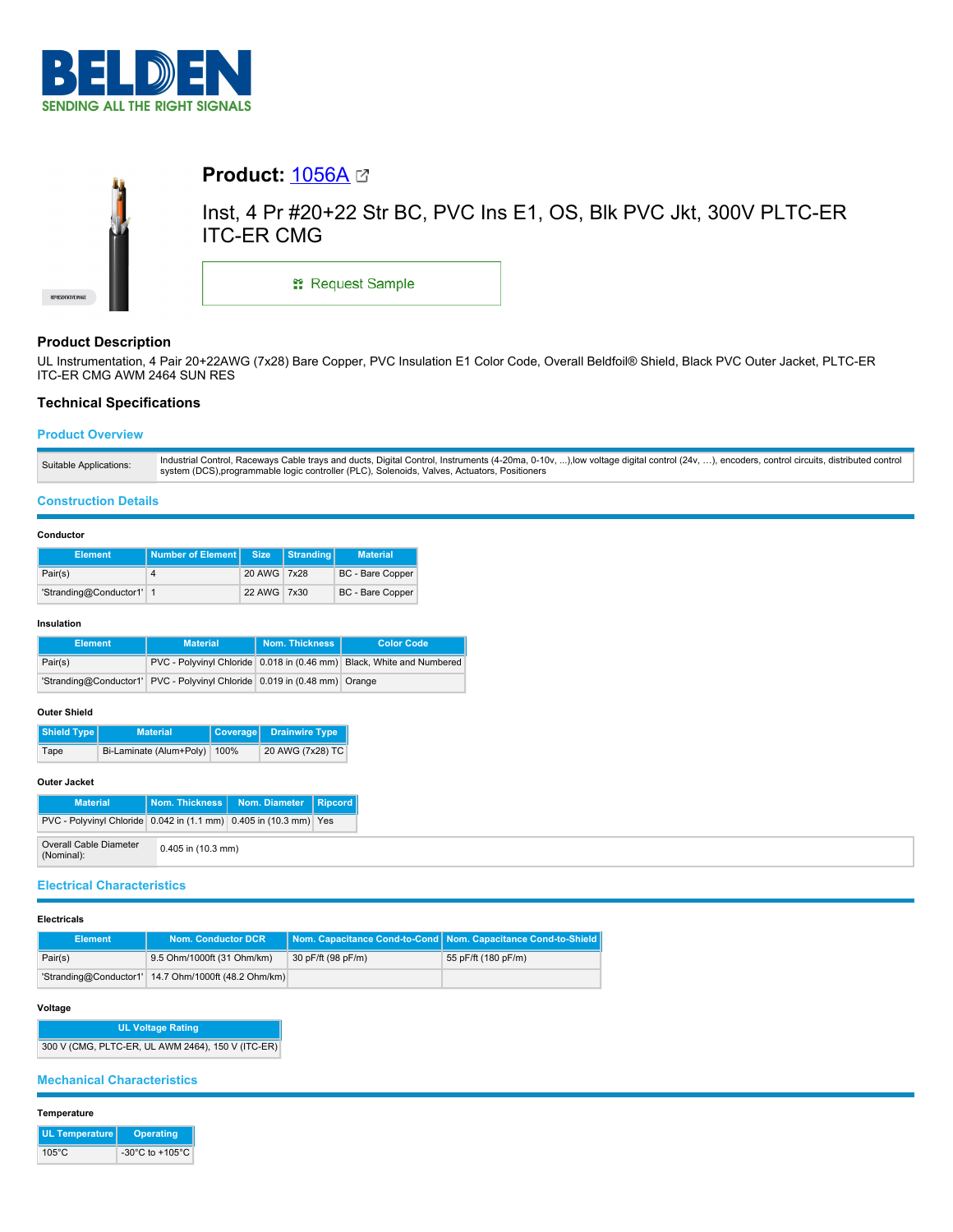



# **Product: [1056A](https://catalog.belden.com/index.cfm?event=pd&p=PF_1056A&tab=downloads) <a>**

Inst, 4 Pr #20+22 Str BC, PVC Ins E1, OS, Blk PVC Jkt, 300V PLTC-ER ITC-ER CMG

\*\* Request Sample

## **Product Description**

UL Instrumentation, 4 Pair 20+22AWG (7x28) Bare Copper, PVC Insulation E1 Color Code, Overall Beldfoil® Shield, Black PVC Outer Jacket, PLTC-ER ITC-ER CMG AWM 2464 SUN RES

## **Technical Specifications**

## **Product Overview**

#### **Construction Details**

#### **Conductor**

| <b>Element</b>           | Number of Element | <b>Size</b> | Stranding | <b>Material</b>         |  |
|--------------------------|-------------------|-------------|-----------|-------------------------|--|
| Pair(s)                  |                   | 20 AWG 7x28 |           | <b>BC</b> - Bare Copper |  |
| 'Stranding@Conductor1' 1 |                   | 22 AWG 7x30 |           | BC - Bare Copper        |  |

#### **Insulation**

| <b>Element</b> | <b>Material</b>                                                           | Nom. Thickness | <b>Color Code</b>                                                     |  |
|----------------|---------------------------------------------------------------------------|----------------|-----------------------------------------------------------------------|--|
| Pair(s)        |                                                                           |                | PVC - Polyvinyl Chloride 0.018 in (0.46 mm) Black, White and Numbered |  |
|                | 'Stranding@Conductor1' PVC - Polyvinyl Chloride 0.019 in (0.48 mm) Orange |                |                                                                       |  |

### **Outer Shield**

| Shield Type | <b>Material</b>         |      | Coverage Drainwire Type |  |
|-------------|-------------------------|------|-------------------------|--|
| Tape        | Bi-Laminate (Alum+Poly) | 100% | 20 AWG (7x28) TC        |  |

## **Outer Jacket**

| <b>Material</b>                                                   |                      | Nom. Thickness   Nom. Diameter   Ripcord |  |
|-------------------------------------------------------------------|----------------------|------------------------------------------|--|
| PVC - Polyvinyl Chloride 0.042 in (1.1 mm) 0.405 in (10.3 mm) Yes |                      |                                          |  |
| Overall Cable Diameter<br>(Nominal):                              | $0.405$ in (10.3 mm) |                                          |  |

## **Electrical Characteristics**

#### **Electricals**

| Element | <b>Nom. Conductor DCR</b>                            |                    | Nom. Capacitance Cond-to-Cond Nom. Capacitance Cond-to-Shield |
|---------|------------------------------------------------------|--------------------|---------------------------------------------------------------|
| Pair(s) | 9.5 Ohm/1000ft (31 Ohm/km)                           | 30 pF/ft (98 pF/m) | 55 pF/ft (180 pF/m)                                           |
|         | 'Stranding@Conductor1' 14.7 Ohm/1000ft (48.2 Ohm/km) |                    |                                                               |

## **Voltage**

**UL Voltage Rating** 300 V (CMG, PLTC-ER, UL AWM 2464), 150 V (ITC-ER)

## **Mechanical Characteristics**

#### **Temperature**

| UL Temperature  | <b>Operating</b>                      |
|-----------------|---------------------------------------|
| $105^{\circ}$ C | -30 $^{\circ}$ C to +105 $^{\circ}$ C |